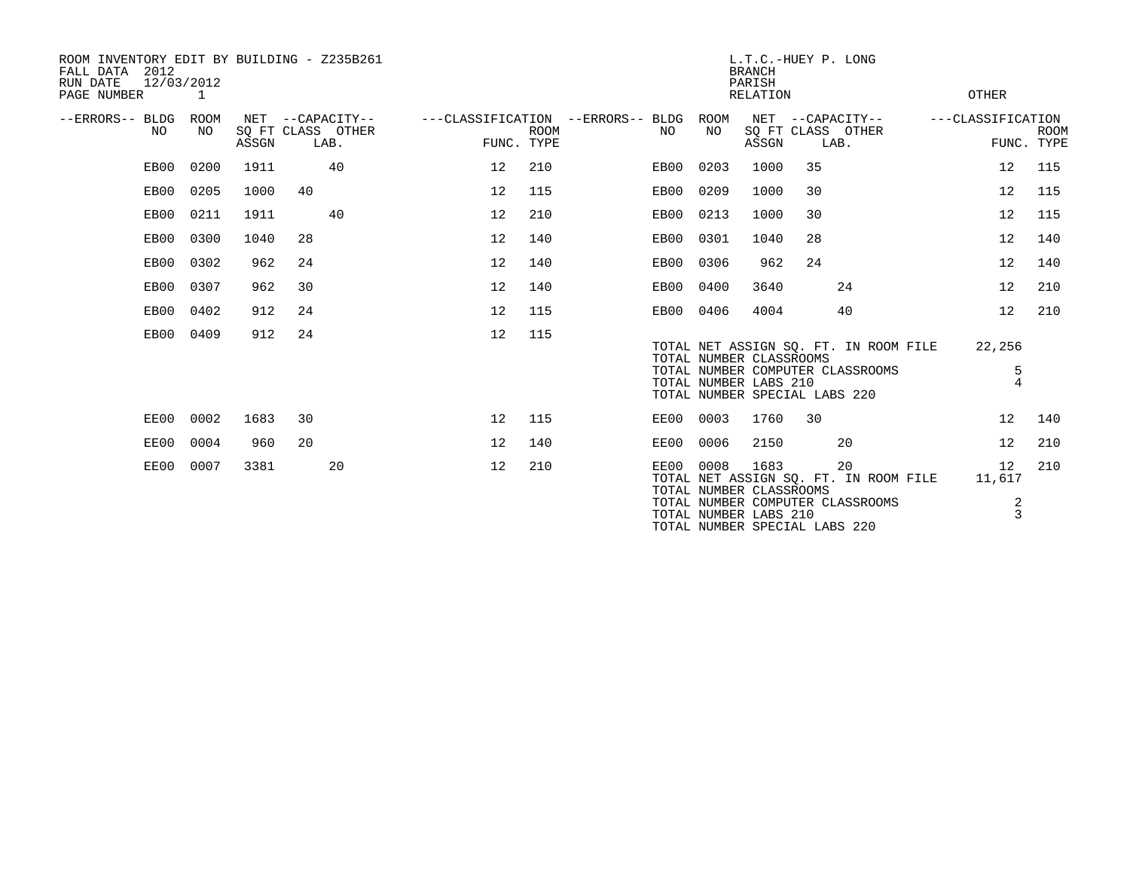| ROOM INVENTORY EDIT BY BUILDING - Z235B261<br>2012<br>FALL DATA<br>12/03/2012<br>RUN DATE<br>PAGE NUMBER<br>1 |      |      |       |    |                                               |                                   | L.T.C.-HUEY P. LONG<br><b>BRANCH</b><br>PARISH<br><b>RELATION</b> |  |           |                                                                                   |       |      |                                                                                 | OTHER                           |             |
|---------------------------------------------------------------------------------------------------------------|------|------|-------|----|-----------------------------------------------|-----------------------------------|-------------------------------------------------------------------|--|-----------|-----------------------------------------------------------------------------------|-------|------|---------------------------------------------------------------------------------|---------------------------------|-------------|
| --ERRORS-- BLDG ROOM                                                                                          | NO.  | NO.  | ASSGN |    | NET --CAPACITY--<br>SQ FT CLASS OTHER<br>LAB. | ---CLASSIFICATION --ERRORS-- BLDG | <b>ROOM</b><br>FUNC. TYPE                                         |  | NO        | ROOM<br>NO                                                                        | ASSGN | LAB. | NET --CAPACITY--<br>SQ FT CLASS OTHER                                           | ---CLASSIFICATION<br>FUNC. TYPE | <b>ROOM</b> |
|                                                                                                               | EB00 | 0200 | 1911  |    | 40                                            | 12                                | 210                                                               |  | EB00      | 0203                                                                              | 1000  | 35   |                                                                                 | 12                              | 115         |
|                                                                                                               | EB00 | 0205 | 1000  | 40 |                                               | 12                                | 115                                                               |  | EB00      | 0209                                                                              | 1000  | 30   |                                                                                 | 12                              | 115         |
|                                                                                                               | EB00 | 0211 | 1911  |    | 40                                            | 12                                | 210                                                               |  | EB00      | 0213                                                                              | 1000  | 30   |                                                                                 | 12                              | 115         |
|                                                                                                               | EB00 | 0300 | 1040  | 28 |                                               | 12                                | 140                                                               |  | EB00      | 0301                                                                              | 1040  | 28   |                                                                                 | 12                              | 140         |
|                                                                                                               | EB00 | 0302 | 962   | 24 |                                               | 12                                | 140                                                               |  | EB00      | 0306                                                                              | 962   | 24   |                                                                                 | 12                              | 140         |
|                                                                                                               | EB00 | 0307 | 962   | 30 |                                               | 12                                | 140                                                               |  | EB00      | 0400                                                                              | 3640  |      | 24                                                                              | 12                              | 210         |
|                                                                                                               | EB00 | 0402 | 912   | 24 |                                               | 12                                | 115                                                               |  | EB00 0406 |                                                                                   | 4004  |      | 40                                                                              | 12                              | 210         |
|                                                                                                               | EB00 | 0409 | 912   | 24 |                                               | 12                                | 115                                                               |  |           | TOTAL NUMBER CLASSROOMS<br>TOTAL NUMBER LABS 210<br>TOTAL NUMBER SPECIAL LABS 220 |       |      | TOTAL NET ASSIGN SO. FT. IN ROOM FILE<br>TOTAL NUMBER COMPUTER CLASSROOMS       | 22,256<br>5<br>$\overline{4}$   |             |
|                                                                                                               | EE00 | 0002 | 1683  | 30 |                                               | 12                                | 115                                                               |  | EE00 0003 |                                                                                   | 1760  | 30   |                                                                                 | 12                              | 140         |
|                                                                                                               | EE00 | 0004 | 960   | 20 |                                               | 12                                | 140                                                               |  | EE00      | 0006                                                                              | 2150  |      | 20                                                                              | 12                              | 210         |
|                                                                                                               | EE00 | 0007 | 3381  |    | 20                                            | 12                                | 210                                                               |  | EE00 0008 | TOTAL NUMBER CLASSROOMS<br>TOTAL NUMBER LABS 210                                  | 1683  |      | 20<br>TOTAL NET ASSIGN SQ. FT. IN ROOM FILE<br>TOTAL NUMBER COMPUTER CLASSROOMS | 12<br>11,617<br>2<br>3          | 210         |
|                                                                                                               |      |      |       |    |                                               |                                   |                                                                   |  |           | TOTAL NUMBER SPECIAL LABS 220                                                     |       |      |                                                                                 |                                 |             |